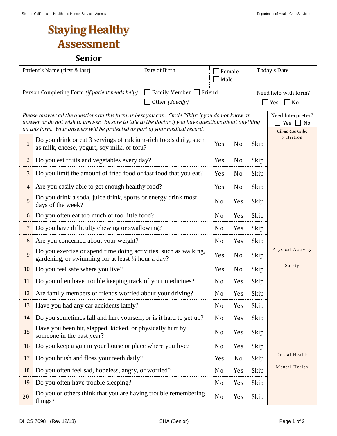## **Staying Healthy Assessment**

## **Senior**

|                                                                                                                                                                                                                                                                                          | Date of Birth<br>Patient's Name (first & last)                                                                          | Female<br>Male |                |      | Today's Date                                    |  |
|------------------------------------------------------------------------------------------------------------------------------------------------------------------------------------------------------------------------------------------------------------------------------------------|-------------------------------------------------------------------------------------------------------------------------|----------------|----------------|------|-------------------------------------------------|--|
|                                                                                                                                                                                                                                                                                          | Family Member<br>Person Completing Form (if patient needs help)<br>Other (Specify)                                      | Friend         |                |      | Need help with form?<br>$\Box$ Yes<br>$\Box$ No |  |
| Please answer all the questions on this form as best you can. Circle "Skip" if you do not know an<br>answer or do not wish to answer. Be sure to talk to the doctor if you have questions about anything<br>on this form. Your answers will be protected as part of your medical record. | Need Interpreter?<br>Yes<br>No<br><b>Clinic Use Only:</b>                                                               |                |                |      |                                                 |  |
| $\mathbf{1}$                                                                                                                                                                                                                                                                             | Do you drink or eat 3 servings of calcium-rich foods daily, such<br>as milk, cheese, yogurt, soy milk, or tofu?         | Yes            | N <sub>o</sub> | Skip | Nutrition                                       |  |
| $\mathbf{2}$                                                                                                                                                                                                                                                                             | Do you eat fruits and vegetables every day?                                                                             | Yes            | N <sub>o</sub> | Skip |                                                 |  |
| $\mathfrak{Z}$                                                                                                                                                                                                                                                                           | Do you limit the amount of fried food or fast food that you eat?                                                        | Yes            | N <sub>0</sub> | Skip |                                                 |  |
| $\overline{4}$                                                                                                                                                                                                                                                                           | Are you easily able to get enough healthy food?                                                                         | Yes            | N <sub>0</sub> | Skip |                                                 |  |
| 5                                                                                                                                                                                                                                                                                        | Do you drink a soda, juice drink, sports or energy drink most<br>days of the week?                                      | N <sub>0</sub> | Yes            | Skip |                                                 |  |
| 6                                                                                                                                                                                                                                                                                        | Do you often eat too much or too little food?                                                                           | N <sub>0</sub> | Yes            | Skip |                                                 |  |
| 7                                                                                                                                                                                                                                                                                        | Do you have difficulty chewing or swallowing?                                                                           | N <sub>o</sub> | Yes            | Skip |                                                 |  |
| $8\,$                                                                                                                                                                                                                                                                                    | Are you concerned about your weight?                                                                                    | N <sub>o</sub> | Yes            | Skip |                                                 |  |
| 9                                                                                                                                                                                                                                                                                        | Do you exercise or spend time doing activities, such as walking,<br>gardening, or swimming for at least 1/2 hour a day? | Yes            | N <sub>0</sub> | Skip | Physical Activity                               |  |
| 10                                                                                                                                                                                                                                                                                       | Do you feel safe where you live?                                                                                        | Yes            | N <sub>0</sub> | Skip | Safety                                          |  |
| 11                                                                                                                                                                                                                                                                                       | Do you often have trouble keeping track of your medicines?                                                              | N <sub>0</sub> | Yes            | Skip |                                                 |  |
| 12                                                                                                                                                                                                                                                                                       | Are family members or friends worried about your driving?                                                               | N <sub>0</sub> | Yes            | Skip |                                                 |  |
| 13                                                                                                                                                                                                                                                                                       | Have you had any car accidents lately?                                                                                  | N <sub>0</sub> | Yes            | Skip |                                                 |  |
| 14                                                                                                                                                                                                                                                                                       | Do you sometimes fall and hurt yourself, or is it hard to get up?                                                       | N <sub>o</sub> | Yes            | Skip |                                                 |  |
| 15                                                                                                                                                                                                                                                                                       | Have you been hit, slapped, kicked, or physically hurt by<br>someone in the past year?                                  | N <sub>o</sub> | Yes            | Skip |                                                 |  |
| 16                                                                                                                                                                                                                                                                                       | Do you keep a gun in your house or place where you live?                                                                | N <sub>0</sub> | Yes            | Skip |                                                 |  |
| 17                                                                                                                                                                                                                                                                                       | Do you brush and floss your teeth daily?                                                                                | Yes            | No             | Skip | Dental Health                                   |  |
| 18                                                                                                                                                                                                                                                                                       | Do you often feel sad, hopeless, angry, or worried?                                                                     | N <sub>0</sub> | Yes            | Skip | Mental Health                                   |  |
| 19                                                                                                                                                                                                                                                                                       | Do you often have trouble sleeping?                                                                                     | N <sub>0</sub> | Yes            | Skip |                                                 |  |
| 20                                                                                                                                                                                                                                                                                       | Do you or others think that you are having trouble remembering<br>things?                                               | N <sub>o</sub> | Yes            | Skip |                                                 |  |